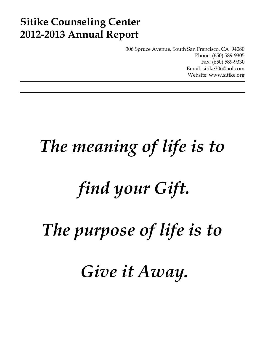# **Sitike Counseling Center 2012-2013 Annual Report**

306 Spruce Avenue, South San Francisco, CA 94080 Phone: (650) 589-9305 Fax: (650) 589-9330 Email: sitike306@aol.com Website: www.sitike.org

# *The meaning of life is to*

# *find your Gift.*

*The purpose of life is to* 

 *Give it Away.*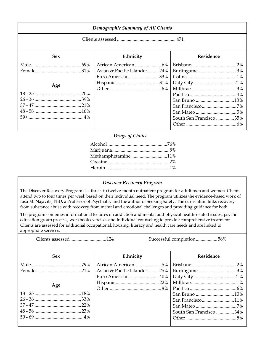| Demographic Summary of All Clients |                                                   |                                         |  |
|------------------------------------|---------------------------------------------------|-----------------------------------------|--|
|                                    |                                                   |                                         |  |
| <b>Sex</b>                         | Ethnicity                                         | Residence                               |  |
| Age                                | Asian & Pacific Islander  24%<br>Euro American33% | Burlingame3%<br>South San Francisco 35% |  |

### *Drugs of Choice*

| Methamphetamine 11% |
|---------------------|
|                     |
|                     |

### *Discover Recovery Program*

The Discover Recovery Program is a three- to twelve-month outpatient program for adult men and women. Clients attend two to four times per week based on their individual need. The program utilizes the evidence-based work of Lisa M. Najavits, PhD, a Professor of Psychiatry and the author of Seeking Safety. The curriculum links recovery from substance abuse with recovery from mental and emotional challenges and providing guidance for both.

The program combines informational lectures on addiction and mental and physical health-related issues, psycho education group process, workbook exercises and individual counseling to provide comprehensive treatment. Clients are assessed for additional occupational, housing, literacy and health care needs and are linked to appropriate services.

Clients assessed .............................. 124 Successful completion .................. 58%

| <b>Sex</b> | Ethnicity                                     | <b>Residence</b>        |
|------------|-----------------------------------------------|-------------------------|
|            |                                               |                         |
|            | Asian & Pacific Islander  25%   Burlingame 3% |                         |
|            |                                               |                         |
|            |                                               |                         |
| Age        |                                               |                         |
|            |                                               |                         |
|            |                                               | San Francisco11%        |
|            |                                               |                         |
|            |                                               | South San Francisco 34% |
|            |                                               |                         |
|            |                                               |                         |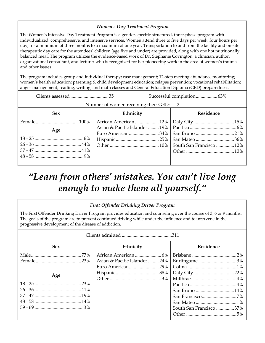## *Women's Day Treatment Program*

The Women's Intensive Day Treatment Program is a gender-specific structured, three-phase program with individualized, comprehensive, and intensive services. Women attend three to five days per week, four hours per day, for a minimum of three months to a maximum of one year. Transportation to and from the facility and on-site therapeutic day care for the attendees' children (age five and under) are provided, along with one hot nutritionally balanced meal. The program utilizes the evidence-based work of Dr. Stephanie Covington, a clinician, author, organizational consultant, and lecturer who is recognized for her pioneering work in the area of women's trauma and other issues.

The program includes group and individual therapy; case management; 12-step meeting attendance monitoring; women's health education; parenting & child development education; relapse prevention; vocational rehabilitation; anger management, reading, writing, and math classes and General Education Diploma (GED) preparedness.

| Number of women receiving their GED: 2 |           |  |           |  |
|----------------------------------------|-----------|--|-----------|--|
| <b>Sex</b>                             | Ethnicity |  | Residence |  |
|                                        |           |  |           |  |
| Age                                    |           |  |           |  |
|                                        |           |  |           |  |
|                                        |           |  |           |  |
|                                        |           |  |           |  |
|                                        |           |  |           |  |
|                                        |           |  |           |  |

## *"Learn from others' mistakes. You can't live long enough to make them all yourself."*

| <b>First Offender Drinking Driver Program</b>                                                                                                                                                                                                                                            |                               |                         |  |  |
|------------------------------------------------------------------------------------------------------------------------------------------------------------------------------------------------------------------------------------------------------------------------------------------|-------------------------------|-------------------------|--|--|
| The First Offender Drinking Driver Program provides education and counseling over the course of 3, 6 or 9 months.<br>The goals of the program are to prevent continued driving while under the influence and to intervene in the<br>progressive development of the disease of addiction. |                               |                         |  |  |
|                                                                                                                                                                                                                                                                                          |                               |                         |  |  |
| <b>Sex</b>                                                                                                                                                                                                                                                                               | Ethnicity                     | Residence               |  |  |
|                                                                                                                                                                                                                                                                                          |                               |                         |  |  |
|                                                                                                                                                                                                                                                                                          | Asian & Pacific Islander  24% | Burlingame3%            |  |  |
|                                                                                                                                                                                                                                                                                          |                               |                         |  |  |
| Age                                                                                                                                                                                                                                                                                      |                               |                         |  |  |
|                                                                                                                                                                                                                                                                                          |                               |                         |  |  |
|                                                                                                                                                                                                                                                                                          |                               |                         |  |  |
|                                                                                                                                                                                                                                                                                          |                               | San Bruno 14%           |  |  |
|                                                                                                                                                                                                                                                                                          |                               |                         |  |  |
|                                                                                                                                                                                                                                                                                          |                               |                         |  |  |
|                                                                                                                                                                                                                                                                                          |                               | South San Francisco 37% |  |  |
|                                                                                                                                                                                                                                                                                          |                               |                         |  |  |